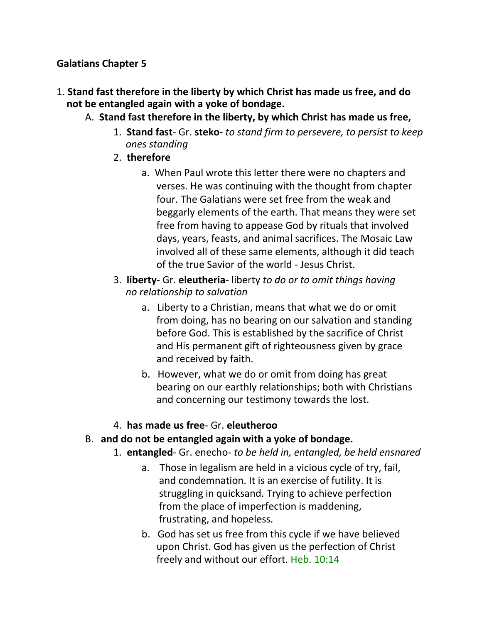### **Galatians Chapter 5**

- 1. **Stand fast therefore in the liberty by which Christ has made us free, and do not be entangled again with a yoke of bondage.**
	- A. **Stand fast therefore in the liberty, by which Christ has made us free,**
		- 1. **Stand fast** Gr. **steko-** *to stand firm to persevere, to persist to keep* *ones standing*
		- 2. **therefore**
			- a. When Paul wrote this letter there were no chapters and verses. He was continuing with the thought from chapter four. The Galatians were set free from the weak and beggarly elements of the earth. That means they were set free from having to appease God by rituals that involved days, years, feasts, and animal sacrifices. The Mosaic Law involved all of these same elements, although it did teach of the true Savior of the world - Jesus Christ.
		- 3. **liberty** Gr. **eleutheria** liberty *to do or to omit things having* *no relationship to salvation*
			- a. Liberty to a Christian, means that what we do or omit from doing, has no bearing on our salvation and standing before God. This is established by the sacrifice of Christ and His permanent gift of righteousness given by grace and received by faith.
			- b. However, what we do or omit from doing has great bearing on our earthly relationships; both with Christians and concerning our testimony towards the lost.
		- 4. **has made us free** Gr. **eleutheroo**

### B. **and do not be entangled again with a yoke of bondage.**

- 1. **entangled** Gr. enecho- *to be held in, entangled, be held ensnared*
	- a. Those in legalism are held in a vicious cycle of try, fail, and condemnation. It is an exercise of futility. It is struggling in quicksand. Trying to achieve perfection from the place of imperfection is maddening, frustrating, and hopeless.
	- b. God has set us free from this cycle if we have believed upon Christ. God has given us the perfection of Christ freely and without our effort. Heb. 10:14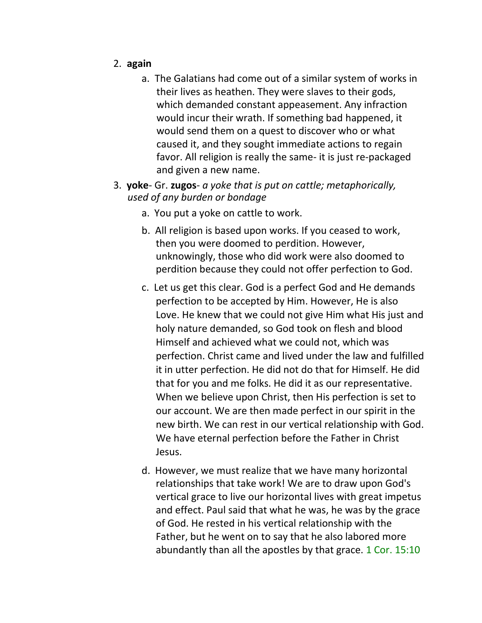- 2. **again**
	- a. The Galatians had come out of a similar system of works in their lives as heathen. They were slaves to their gods, which demanded constant appeasement. Any infraction would incur their wrath. If something bad happened, it would send them on a quest to discover who or what caused it, and they sought immediate actions to regain favor. All religion is really the same- it is just re-packaged and given a new name.
- 3. **yoke** Gr. **zugos** *a yoke that is put on cattle; metaphorically, used of any burden or bondage*
	- a. You put a yoke on cattle to work.
	- b. All religion is based upon works. If you ceased to work, then you were doomed to perdition. However, unknowingly, those who did work were also doomed to perdition because they could not offer perfection to God.
	- c. Let us get this clear. God is a perfect God and He demands perfection to be accepted by Him. However, He is also Love. He knew that we could not give Him what His just and holy nature demanded, so God took on flesh and blood Himself and achieved what we could not, which was perfection. Christ came and lived under the law and fulfilled it in utter perfection. He did not do that for Himself. He did that for you and me folks. He did it as our representative. When we believe upon Christ, then His perfection is set to our account. We are then made perfect in our spirit in the new birth. We can rest in our vertical relationship with God. We have eternal perfection before the Father in Christ Jesus.
	- d. However, we must realize that we have many horizontal relationships that take work! We are to draw upon God's vertical grace to live our horizontal lives with great impetus and effect. Paul said that what he was, he was by the grace of God. He rested in his vertical relationship with the Father, but he went on to say that he also labored more abundantly than all the apostles by that grace. 1 Cor. 15:10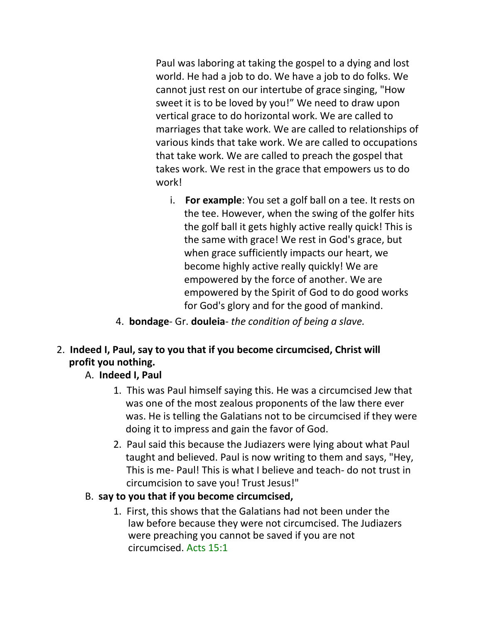Paul was laboring at taking the gospel to a dying and lost world. He had a job to do. We have a job to do folks. We cannot just rest on our intertube of grace singing, "How sweet it is to be loved by you!" We need to draw upon vertical grace to do horizontal work. We are called to marriages that take work. We are called to relationships of various kinds that take work. We are called to occupations that take work. We are called to preach the gospel that takes work. We rest in the grace that empowers us to do work!

- i. **For example**: You set a golf ball on a tee. It rests on the tee. However, when the swing of the golfer hits the golf ball it gets highly active really quick! This is the same with grace! We rest in God's grace, but when grace sufficiently impacts our heart, we become highly active really quickly! We are empowered by the force of another. We are empowered by the Spirit of God to do good works for God's glory and for the good of mankind.
- 4. **bondage** Gr. **douleia** *the condition of being a slave.*
- 2. **Indeed I, Paul, say to you that if you become circumcised, Christ will profit you nothing.**

## A. **Indeed I, Paul**

- 1. This was Paul himself saying this. He was a circumcised Jew that was one of the most zealous proponents of the law there ever was. He is telling the Galatians not to be circumcised if they were doing it to impress and gain the favor of God.
- 2. Paul said this because the Judiazers were lying about what Paul taught and believed. Paul is now writing to them and says, "Hey, This is me- Paul! This is what I believe and teach- do not trust in circumcision to save you! Trust Jesus!"

## B. **say to you that if you become circumcised,**

1. First, this shows that the Galatians had not been under the law before because they were not circumcised. The Judiazers were preaching you cannot be saved if you are not circumcised. Acts 15:1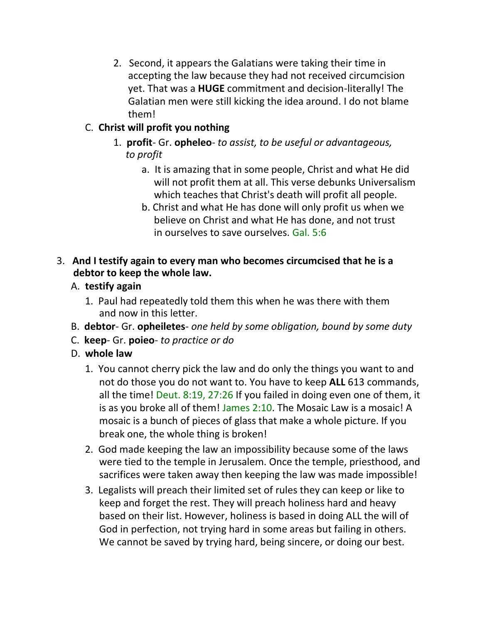2. Second, it appears the Galatians were taking their time in accepting the law because they had not received circumcision yet. That was a **HUGE** commitment and decision-literally! The Galatian men were still kicking the idea around. I do not blame them!

## C. **Christ will profit you nothing**

- 1. **profit** Gr. **opheleo** *to assist, to be useful or advantageous,* *to profit*
	- a. It is amazing that in some people, Christ and what He did will not profit them at all. This verse debunks Universalism which teaches that Christ's death will profit all people.
	- b. Christ and what He has done will only profit us when we believe on Christ and what He has done, and not trust in ourselves to save ourselves. Gal. 5:6

## 3. **And I testify again to every man who becomes circumcised that he is a debtor to keep the whole law.**

- A. **testify again**
	- 1. Paul had repeatedly told them this when he was there with them and now in this letter.
- B. **debtor** Gr. **opheiletes** *one held by some obligation, bound by some duty*
- C. **keep** Gr. **poieo** *to practice or do*
- D. **whole law**
	- 1. You cannot cherry pick the law and do only the things you want to and not do those you do not want to. You have to keep **ALL** 613 commands, all the time! Deut. 8:19, 27:26 If you failed in doing even one of them, it is as you broke all of them! James 2:10. The Mosaic Law is a mosaic! A mosaic is a bunch of pieces of glass that make a whole picture. If you break one, the whole thing is broken!
	- 2. God made keeping the law an impossibility because some of the laws were tied to the temple in Jerusalem. Once the temple, priesthood, and sacrifices were taken away then keeping the law was made impossible!
	- 3. Legalists will preach their limited set of rules they can keep or like to keep and forget the rest. They will preach holiness hard and heavy based on their list. However, holiness is based in doing ALL the will of God in perfection, not trying hard in some areas but failing in others. We cannot be saved by trying hard, being sincere, or doing our best.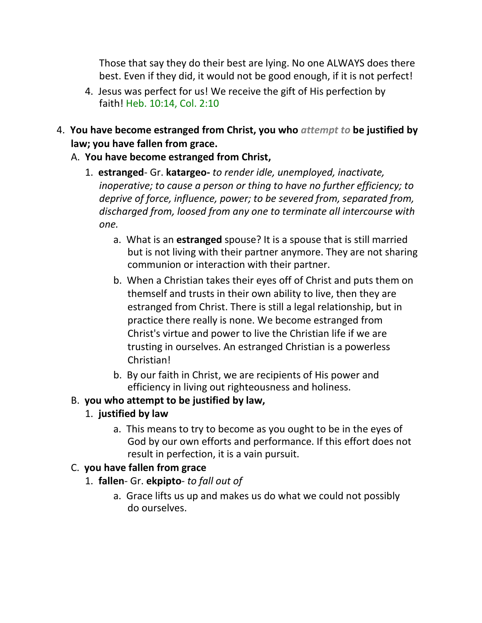Those that say they do their best are lying. No one ALWAYS does there best. Even if they did, it would not be good enough, if it is not perfect!

- 4. Jesus was perfect for us! We receive the gift of His perfection by faith! Heb. 10:14, Col. 2:10
- 4. **You have become estranged from Christ, you who** *attempt to* **be justified by law; you have fallen from grace.**
	- A. **You have become estranged from Christ,**
		- 1. **estranged** Gr. **katargeo-** *to render idle, unemployed, inactivate, inoperative; to cause a person or thing to have no further efficiency; to deprive of force, influence, power; to be severed from, separated from, discharged from, loosed from any one to terminate all intercourse with one.*
			- a. What is an **estranged** spouse? It is a spouse that is still married but is not living with their partner anymore. They are not sharing communion or interaction with their partner.
			- b. When a Christian takes their eyes off of Christ and puts them on themself and trusts in their own ability to live, then they are estranged from Christ. There is still a legal relationship, but in practice there really is none. We become estranged from Christ's virtue and power to live the Christian life if we are trusting in ourselves. An estranged Christian is a powerless Christian!
			- b. By our faith in Christ, we are recipients of His power and efficiency in living out righteousness and holiness.

# B. **you who attempt to be justified by law,**

# 1. **justified by law**

a. This means to try to become as you ought to be in the eyes of God by our own efforts and performance. If this effort does not result in perfection, it is a vain pursuit.

# C. **you have fallen from grace**

- 1. **fallen** Gr. **ekpipto** *to fall out of*
	- a. Grace lifts us up and makes us do what we could not possibly do ourselves.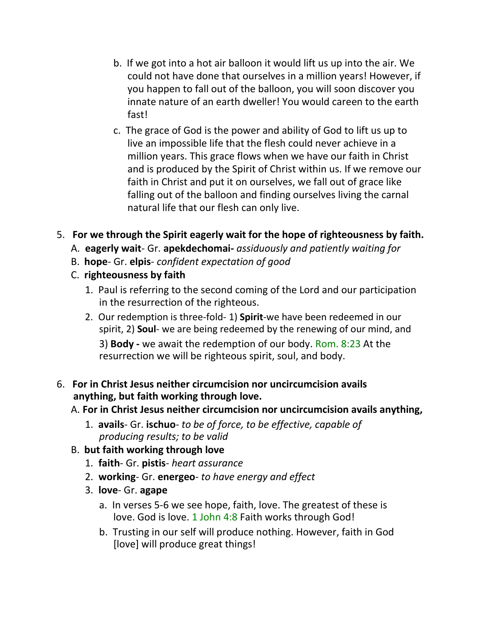- b. If we got into a hot air balloon it would lift us up into the air. We could not have done that ourselves in a million years! However, if you happen to fall out of the balloon, you will soon discover you innate nature of an earth dweller! You would careen to the earth fast!
- c. The grace of God is the power and ability of God to lift us up to live an impossible life that the flesh could never achieve in a million years. This grace flows when we have our faith in Christ and is produced by the Spirit of Christ within us. If we remove our faith in Christ and put it on ourselves, we fall out of grace like falling out of the balloon and finding ourselves living the carnal natural life that our flesh can only live.
- 5. **For we through the Spirit eagerly wait for the hope of righteousness by faith.**
	- A. **eagerly wait** Gr. **apekdechomai-** *assiduously and patiently waiting for*
	- B. **hope** Gr. **elpis** *confident expectation of good*
	- C. **righteousness by faith**
		- 1. Paul is referring to the second coming of the Lord and our participation in the resurrection of the righteous.
		- 2. Our redemption is three-fold- 1) **Spirit**-we have been redeemed in our spirit, 2) **Soul**- we are being redeemed by the renewing of our mind, and 3) **Body -** we await the redemption of our body. Rom. 8:23 At the resurrection we will be righteous spirit, soul, and body.
- 6. **For in Christ Jesus neither circumcision nor uncircumcision avails anything, but faith working through love.**

## A. **For in Christ Jesus neither circumcision nor uncircumcision avails anything,**

- 1. **avails** Gr. **ischuo** *to be of force, to be effective, capable of producing results; to be valid*
- B. **but faith working through love**
	- 1. **faith** Gr. **pistis** *heart assurance*
	- 2. **working** Gr. **energeo** *to have energy and effect*
	- 3. **love** Gr. **agape**
		- a. In verses 5-6 we see hope, faith, love. The greatest of these is love. God is love. 1 John 4:8 Faith works through God!
		- b. Trusting in our self will produce nothing. However, faith in God [love] will produce great things!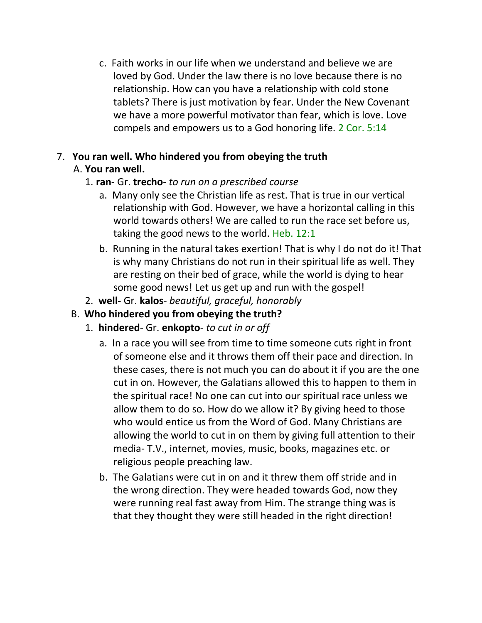c. Faith works in our life when we understand and believe we are loved by God. Under the law there is no love because there is no relationship. How can you have a relationship with cold stone tablets? There is just motivation by fear. Under the New Covenant we have a more powerful motivator than fear, which is love. Love compels and empowers us to a God honoring life. 2 Cor. 5:14

### 7. **You ran well. Who hindered you from obeying the truth** A. **You ran well.**

### 1. **ran**- Gr. **trecho**- *to run on a prescribed course*

- a. Many only see the Christian life as rest. That is true in our vertical relationship with God. However, we have a horizontal calling in this world towards others! We are called to run the race set before us, taking the good news to the world. Heb. 12:1
- b. Running in the natural takes exertion! That is why I do not do it! That is why many Christians do not run in their spiritual life as well. They are resting on their bed of grace, while the world is dying to hear some good news! Let us get up and run with the gospel!
- 2. **well-** Gr. **kalos** *beautiful, graceful, honorably*
- B. **Who hindered you from obeying the truth?**
	- 1. **hindered** Gr. **enkopto** *to cut in or off*
		- a. In a race you will see from time to time someone cuts right in front of someone else and it throws them off their pace and direction. In these cases, there is not much you can do about it if you are the one cut in on. However, the Galatians allowed this to happen to them in the spiritual race! No one can cut into our spiritual race unless we allow them to do so. How do we allow it? By giving heed to those who would entice us from the Word of God. Many Christians are allowing the world to cut in on them by giving full attention to their media- T.V., internet, movies, music, books, magazines etc. or religious people preaching law.
		- b. The Galatians were cut in on and it threw them off stride and in the wrong direction. They were headed towards God, now they were running real fast away from Him. The strange thing was is that they thought they were still headed in the right direction!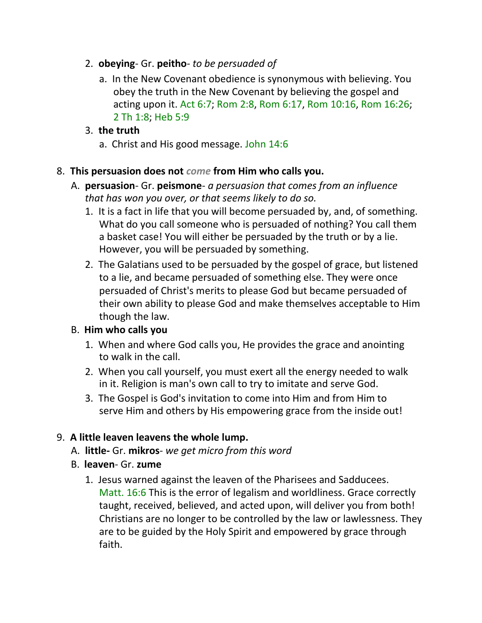- 2. **obeying** Gr. **peitho** *to be persuaded of*
	- a. In the New Covenant obedience is synonymous with believing. You obey the truth in the New Covenant by believing the gospel and acting upon it. Act 6:7; Rom 2:8, Rom 6:17, Rom 10:16, Rom 16:26; 2 Th 1:8; Heb 5:9

## 3. **the truth**

a. Christ and His good message. John 14:6

### 8. **This persuasion does not** *come* **from Him who calls you.**

- A. **persuasion** Gr. **peismone** *a persuasion that comes from an influence that has won you over, or that seems likely to do so.*
	- 1. It is a fact in life that you will become persuaded by, and, of something. What do you call someone who is persuaded of nothing? You call them a basket case! You will either be persuaded by the truth or by a lie. However, you will be persuaded by something.
	- 2. The Galatians used to be persuaded by the gospel of grace, but listened to a lie, and became persuaded of something else. They were once persuaded of Christ's merits to please God but became persuaded of their own ability to please God and make themselves acceptable to Him though the law.

## B. **Him who calls you**

- 1. When and where God calls you, He provides the grace and anointing to walk in the call.
- 2. When you call yourself, you must exert all the energy needed to walk in it. Religion is man's own call to try to imitate and serve God.
- 3. The Gospel is God's invitation to come into Him and from Him to serve Him and others by His empowering grace from the inside out!

## 9. **A little leaven leavens the whole lump.**

- A. **little-** Gr. **mikros** *we get micro from this word*
- B. **leaven** Gr. **zume**
	- 1. Jesus warned against the leaven of the Pharisees and Sadducees. Matt. 16:6 This is the error of legalism and worldliness. Grace correctly taught, received, believed, and acted upon, will deliver you from both! Christians are no longer to be controlled by the law or lawlessness. They are to be guided by the Holy Spirit and empowered by grace through faith.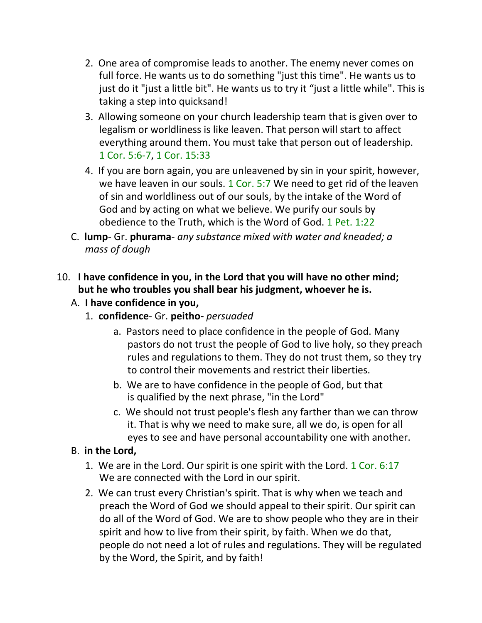- 2. One area of compromise leads to another. The enemy never comes on full force. He wants us to do something "just this time". He wants us to just do it "just a little bit". He wants us to try it "just a little while". This is taking a step into quicksand!
- 3. Allowing someone on your church leadership team that is given over to legalism or worldliness is like leaven. That person will start to affect everything around them. You must take that person out of leadership. 1 Cor. 5:6-7, 1 Cor. 15:33
- 4. If you are born again, you are unleavened by sin in your spirit, however, we have leaven in our souls. 1 Cor. 5:7 We need to get rid of the leaven of sin and worldliness out of our souls, by the intake of the Word of God and by acting on what we believe. We purify our souls by obedience to the Truth, which is the Word of God. 1 Pet. 1:22
- C. **lump** Gr. **phurama** *any substance mixed with water and kneaded; a mass of dough*

## 10. **I have confidence in you, in the Lord that you will have no other mind; but he who troubles you shall bear his judgment, whoever he is.**

- A. **I have confidence in you,**
	- 1. **confidence** Gr. **peitho-** *persuaded*
		- a. Pastors need to place confidence in the people of God. Many pastors do not trust the people of God to live holy, so they preach rules and regulations to them. They do not trust them, so they try to control their movements and restrict their liberties.
		- b. We are to have confidence in the people of God, but that is qualified by the next phrase, "in the Lord"
		- c. We should not trust people's flesh any farther than we can throw it. That is why we need to make sure, all we do, is open for all eyes to see and have personal accountability one with another.

## B. **in the Lord,**

- 1. We are in the Lord. Our spirit is one spirit with the Lord. 1 Cor. 6:17 We are connected with the Lord in our spirit.
- 2. We can trust every Christian's spirit. That is why when we teach and preach the Word of God we should appeal to their spirit. Our spirit can do all of the Word of God. We are to show people who they are in their spirit and how to live from their spirit, by faith. When we do that, people do not need a lot of rules and regulations. They will be regulated by the Word, the Spirit, and by faith!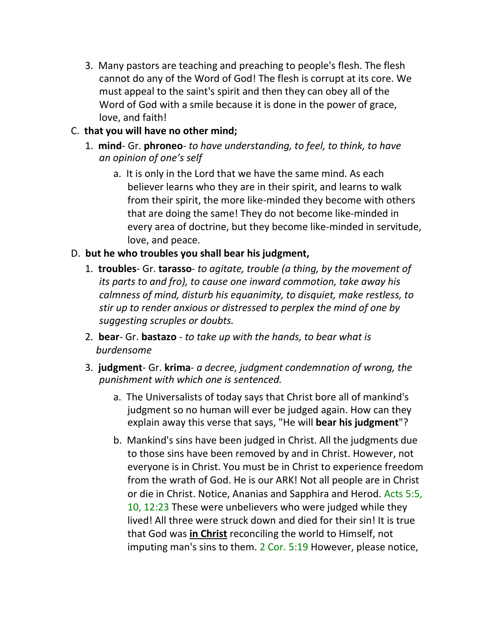3. Many pastors are teaching and preaching to people's flesh. The flesh cannot do any of the Word of God! The flesh is corrupt at its core. We must appeal to the saint's spirit and then they can obey all of the Word of God with a smile because it is done in the power of grace, love, and faith!

## C. **that you will have no other mind;**

- 1. **mind** Gr. **phroneo** *to have understanding, to feel, to think, to have an opinion of one's self*
	- a. It is only in the Lord that we have the same mind. As each believer learns who they are in their spirit, and learns to walk from their spirit, the more like-minded they become with others that are doing the same! They do not become like-minded in every area of doctrine, but they become like-minded in servitude, love, and peace.

## D. **but he who troubles you shall bear his judgment,**

- 1. **troubles** Gr. **tarasso** *to agitate, trouble (a thing, by the movement of its parts to and fro), to cause one inward commotion, take away his calmness of mind, disturb his equanimity, to disquiet, make restless, to stir up to render anxious or distressed to perplex the mind of one by suggesting scruples or doubts.*
- 2. **bear** Gr. **bastazo** *to take up with the hands, to bear what is burdensome*
- 3. **judgment** Gr. **krima** *a decree, judgment condemnation of wrong, the punishment with which one is sentenced.*
	- a. The Universalists of today says that Christ bore all of mankind's judgment so no human will ever be judged again. How can they explain away this verse that says, "He will **bear his judgment**"?
	- b. Mankind's sins have been judged in Christ. All the judgments due to those sins have been removed by and in Christ. However, not everyone is in Christ. You must be in Christ to experience freedom from the wrath of God. He is our ARK! Not all people are in Christ or die in Christ. Notice, Ananias and Sapphira and Herod. Acts 5:5, 10, 12:23 These were unbelievers who were judged while they lived! All three were struck down and died for their sin! It is true that God was **in Christ** reconciling the world to Himself, not imputing man's sins to them. 2 Cor. 5:19 However, please notice,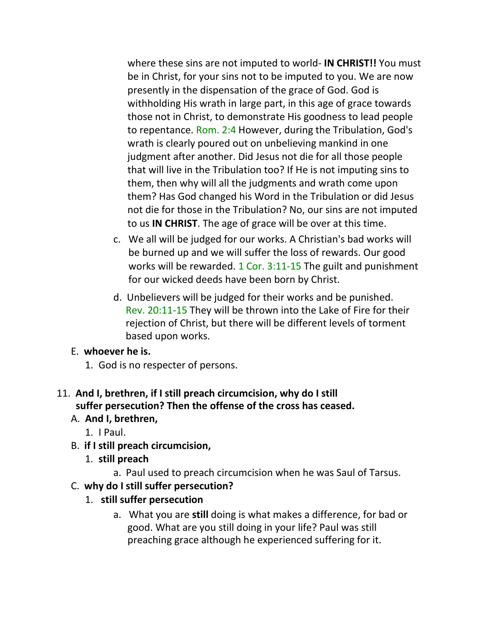where these sins are not imputed to world- **IN CHRIST!!** You must be in Christ, for your sins not to be imputed to you. We are now presently in the dispensation of the grace of God. God is withholding His wrath in large part, in this age of grace towards those not in Christ, to demonstrate His goodness to lead people to repentance. Rom. 2:4 However, during the Tribulation, God's wrath is clearly poured out on unbelieving mankind in one judgment after another. Did Jesus not die for all those people that will live in the Tribulation too? If He is not imputing sins to them, then why will all the judgments and wrath come upon them? Has God changed his Word in the Tribulation or did Jesus not die for those in the Tribulation? No, our sins are not imputed to us **IN CHRIST**. The age of grace will be over at this time.

- c. We all will be judged for our works. A Christian's bad works will be burned up and we will suffer the loss of rewards. Our good works will be rewarded. 1 Cor. 3:11-15 The guilt and punishment for our wicked deeds have been born by Christ.
- d. Unbelievers will be judged for their works and be punished. Rev. 20:11-15 They will be thrown into the Lake of Fire for their rejection of Christ, but there will be different levels of torment based upon works.

## E. **whoever he is.**

1. God is no respecter of persons.

## 11. **And I, brethren, if I still preach circumcision, why do I still suffer persecution? Then the offense of the cross has ceased.**

# A. **And I, brethren,**

- 1. I Paul.
- B. **if I still preach circumcision,**
	- 1. **still preach**
		- a. Paul used to preach circumcision when he was Saul of Tarsus.

# C. **why do I still suffer persecution?**

# 1. **still suffer persecution**

a. What you are **still** doing is what makes a difference, for bad or good. What are you still doing in your life? Paul was still preaching grace although he experienced suffering for it.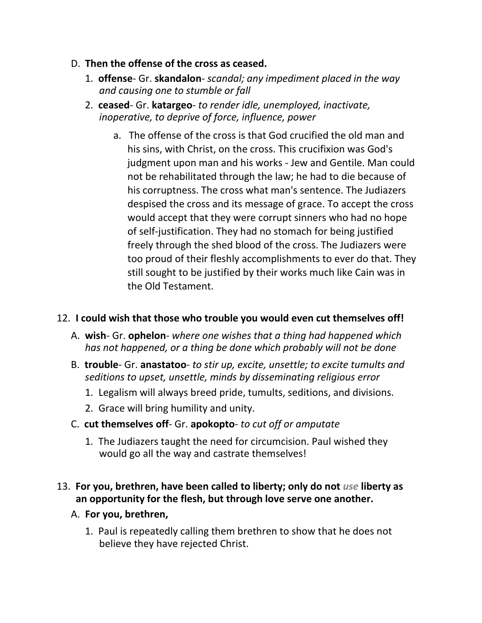- D. **Then the offense of the cross as ceased.**
	- 1. **offense** Gr. **skandalon** *scandal; any impediment placed in the way and causing one to stumble or fall*
	- 2. **ceased** Gr. **katargeo** *to render idle, unemployed, inactivate, inoperative, to deprive of force, influence, power*
		- a. The offense of the cross is that God crucified the old man and his sins, with Christ, on the cross. This crucifixion was God's judgment upon man and his works - Jew and Gentile. Man could not be rehabilitated through the law; he had to die because of his corruptness. The cross what man's sentence. The Judiazers despised the cross and its message of grace. To accept the cross would accept that they were corrupt sinners who had no hope of self-justification. They had no stomach for being justified freely through the shed blood of the cross. The Judiazers were too proud of their fleshly accomplishments to ever do that. They still sought to be justified by their works much like Cain was in the Old Testament.

### 12. **I could wish that those who trouble you would even cut themselves off!**

- A. **wish** Gr. **ophelon** *where one wishes that a thing had happened which has not happened, or a thing be done which probably will not be done*
- B. **trouble** Gr. **anastatoo** *to stir up, excite, unsettle; to excite tumults and seditions to upset, unsettle, minds by disseminating religious error*
	- 1. Legalism will always breed pride, tumults, seditions, and divisions.
	- 2. Grace will bring humility and unity.
- C. **cut themselves off** Gr. **apokopto** *to cut off or amputate*
	- 1. The Judiazers taught the need for circumcision. Paul wished they would go all the way and castrate themselves!

### 13. **For you, brethren, have been called to liberty; only do not** *use* **liberty as an opportunity for the flesh, but through love serve one another.**

- A. **For you, brethren,**
	- 1. Paul is repeatedly calling them brethren to show that he does not believe they have rejected Christ.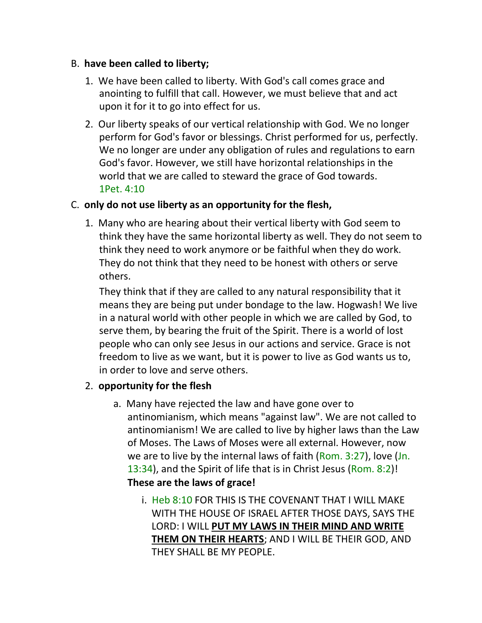#### B. **have been called to liberty;**

- 1. We have been called to liberty. With God's call comes grace and anointing to fulfill that call. However, we must believe that and act upon it for it to go into effect for us.
- 2. Our liberty speaks of our vertical relationship with God. We no longer perform for God's favor or blessings. Christ performed for us, perfectly. We no longer are under any obligation of rules and regulations to earn God's favor. However, we still have horizontal relationships in the world that we are called to steward the grace of God towards. 1Pet. 4:10

### C. **only do not use liberty as an opportunity for the flesh,**

1. Many who are hearing about their vertical liberty with God seem to think they have the same horizontal liberty as well. They do not seem to think they need to work anymore or be faithful when they do work. They do not think that they need to be honest with others or serve others.

They think that if they are called to any natural responsibility that it means they are being put under bondage to the law. Hogwash! We live in a natural world with other people in which we are called by God, to serve them, by bearing the fruit of the Spirit. There is a world of lost people who can only see Jesus in our actions and service. Grace is not freedom to live as we want, but it is power to live as God wants us to, in order to love and serve others.

### 2. **opportunity for the flesh**

- a. Many have rejected the law and have gone over to antinomianism, which means "against law". We are not called to antinomianism! We are called to live by higher laws than the Law of Moses. The Laws of Moses were all external. However, now we are to live by the internal laws of faith (Rom. 3:27), love (Jn. 13:34), and the Spirit of life that is in Christ Jesus (Rom. 8:2)! **These are the laws of grace!**
	- i. Heb 8:10 FOR THIS IS THE COVENANT THAT I WILL MAKE WITH THE HOUSE OF ISRAEL AFTER THOSE DAYS, SAYS THE LORD: I WILL **PUT MY LAWS IN THEIR MIND AND WRITE THEM ON THEIR HEARTS**; AND I WILL BE THEIR GOD, AND THEY SHALL BE MY PEOPLE.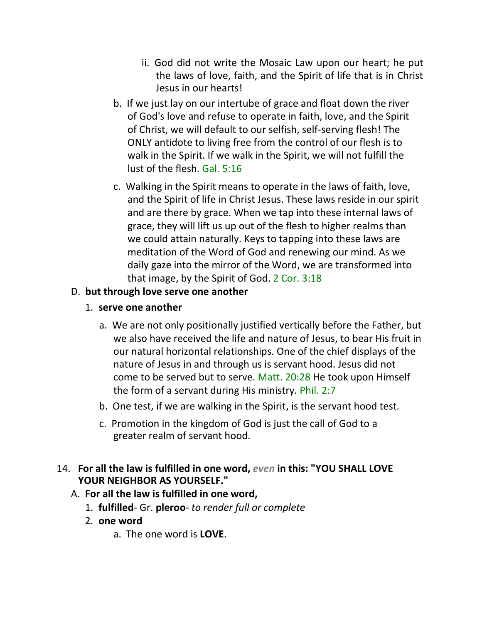- ii. God did not write the Mosaic Law upon our heart; he put the laws of love, faith, and the Spirit of life that is in Christ Jesus in our hearts!
- b. If we just lay on our intertube of grace and float down the river of God's love and refuse to operate in faith, love, and the Spirit of Christ, we will default to our selfish, self-serving flesh! The ONLY antidote to living free from the control of our flesh is to walk in the Spirit. If we walk in the Spirit, we will not fulfill the lust of the flesh. Gal. 5:16
- c. Walking in the Spirit means to operate in the laws of faith, love, and the Spirit of life in Christ Jesus. These laws reside in our spirit and are there by grace. When we tap into these internal laws of grace, they will lift us up out of the flesh to higher realms than we could attain naturally. Keys to tapping into these laws are meditation of the Word of God and renewing our mind. As we daily gaze into the mirror of the Word, we are transformed into that image, by the Spirit of God. 2 Cor. 3:18

## D. **but through love serve one another**

- 1. **serve one another**
	- a. We are not only positionally justified vertically before the Father, but we also have received the life and nature of Jesus, to bear His fruit in our natural horizontal relationships. One of the chief displays of the nature of Jesus in and through us is servant hood. Jesus did not come to be served but to serve. Matt. 20:28 He took upon Himself the form of a servant during His ministry. Phil. 2:7
	- b. One test, if we are walking in the Spirit, is the servant hood test.
	- c. Promotion in the kingdom of God is just the call of God to a greater realm of servant hood.

## 14. **For all the law is fulfilled in one word,** *even* **in this: "YOU SHALL LOVE YOUR NEIGHBOR AS YOURSELF."**

- A. **For all the law is fulfilled in one word,**
	- 1. **fulfilled** Gr. **pleroo** *to render full or complete*
	- 2. **one word**
		- a. The one word is **LOVE**.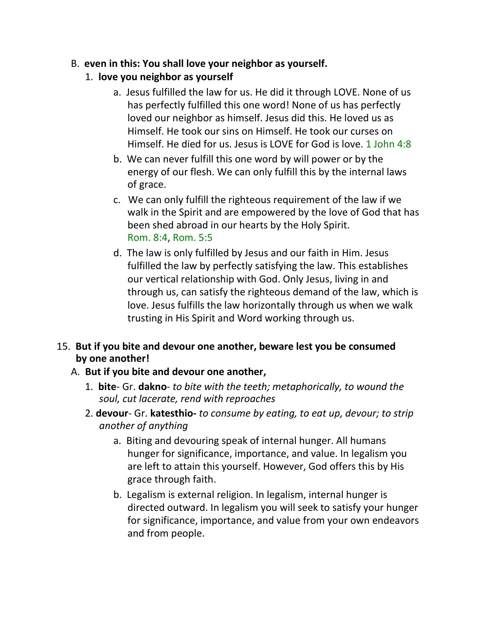### B. **even in this: You shall love your neighbor as yourself.**

- 1. **love you neighbor as yourself**
	- a. Jesus fulfilled the law for us. He did it through LOVE. None of us has perfectly fulfilled this one word! None of us has perfectly loved our neighbor as himself. Jesus did this. He loved us as Himself. He took our sins on Himself. He took our curses on Himself. He died for us. Jesus is LOVE for God is love. 1 John 4:8
	- b. We can never fulfill this one word by will power or by the energy of our flesh. We can only fulfill this by the internal laws of grace.
	- c. We can only fulfill the righteous requirement of the law if we walk in the Spirit and are empowered by the love of God that has been shed abroad in our hearts by the Holy Spirit. Rom. 8:4, Rom. 5:5
	- d. The law is only fulfilled by Jesus and our faith in Him. Jesus fulfilled the law by perfectly satisfying the law. This establishes our vertical relationship with God. Only Jesus, living in and through us, can satisfy the righteous demand of the law, which is love. Jesus fulfills the law horizontally through us when we walk trusting in His Spirit and Word working through us.

## 15. **But if you bite and devour one another, beware lest you be consumed by one another!**

### A. **But if you bite and devour one another,**

- 1. **bite** Gr. **dakno** *to bite with the teeth; metaphorically, to wound the soul, cut lacerate, rend with reproaches*
- 2. **devour** Gr. **katesthio-** *to consume by eating, to eat up, devour; to strip another of anything*
	- a. Biting and devouring speak of internal hunger. All humans hunger for significance, importance, and value. In legalism you are left to attain this yourself. However, God offers this by His grace through faith.
	- b. Legalism is external religion. In legalism, internal hunger is directed outward. In legalism you will seek to satisfy your hunger for significance, importance, and value from your own endeavors and from people.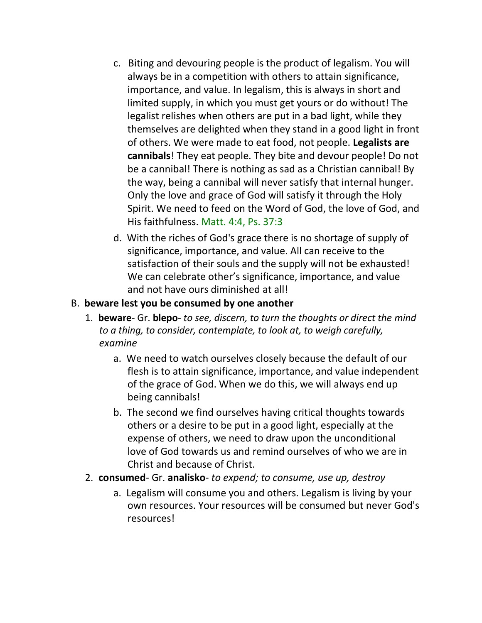- c. Biting and devouring people is the product of legalism. You will always be in a competition with others to attain significance, importance, and value. In legalism, this is always in short and limited supply, in which you must get yours or do without! The legalist relishes when others are put in a bad light, while they themselves are delighted when they stand in a good light in front of others. We were made to eat food, not people. **Legalists are cannibals**! They eat people. They bite and devour people! Do not be a cannibal! There is nothing as sad as a Christian cannibal! By the way, being a cannibal will never satisfy that internal hunger. Only the love and grace of God will satisfy it through the Holy Spirit. We need to feed on the Word of God, the love of God, and His faithfulness. Matt. 4:4, Ps. 37:3
- d. With the riches of God's grace there is no shortage of supply of significance, importance, and value. All can receive to the satisfaction of their souls and the supply will not be exhausted! We can celebrate other's significance, importance, and value and not have ours diminished at all!

### B. **beware lest you be consumed by one another**

- 1. **beware** Gr. **blepo** *to see, discern, to turn the thoughts or direct the mind to a thing, to consider, contemplate, to look at, to weigh carefully, examine*
	- a. We need to watch ourselves closely because the default of our flesh is to attain significance, importance, and value independent of the grace of God. When we do this, we will always end up being cannibals!
	- b. The second we find ourselves having critical thoughts towards others or a desire to be put in a good light, especially at the expense of others, we need to draw upon the unconditional love of God towards us and remind ourselves of who we are in Christ and because of Christ.
- 2. **consumed** Gr. **analisko** *to expend; to consume, use up, destroy*
	- a. Legalism will consume you and others. Legalism is living by your own resources. Your resources will be consumed but never God's resources!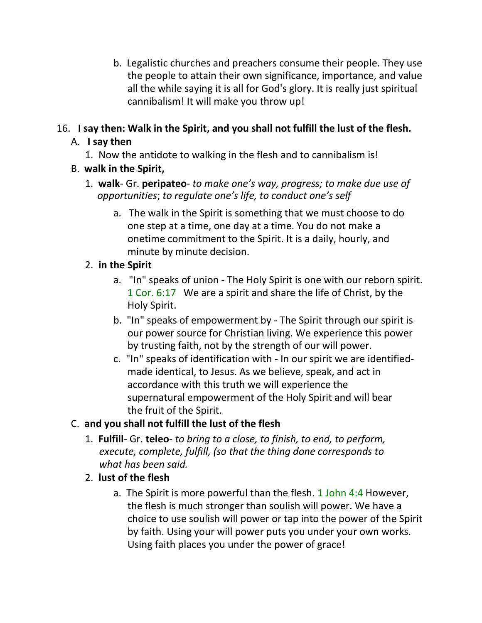b. Legalistic churches and preachers consume their people. They use the people to attain their own significance, importance, and value all the while saying it is all for God's glory. It is really just spiritual cannibalism! It will make you throw up!

# 16. **I say then: Walk in the Spirit, and you shall not fulfill the lust of the flesh.**

# A. **I say then**

- 1. Now the antidote to walking in the flesh and to cannibalism is!
- B. **walk in the Spirit,**
	- 1. **walk** Gr. **peripateo** *to make one's way, progress; to make due use of* *opportunities*; *to regulate one's life, to conduct one's self*
		- a. The walk in the Spirit is something that we must choose to do one step at a time, one day at a time. You do not make a onetime commitment to the Spirit. It is a daily, hourly, and minute by minute decision.

# 2. **in the Spirit**

- a. "In" speaks of union The Holy Spirit is one with our reborn spirit. 1 Cor. 6:17 We are a spirit and share the life of Christ, by the Holy Spirit.
- b. "In" speaks of empowerment by The Spirit through our spirit is our power source for Christian living. We experience this power by trusting faith, not by the strength of our will power.
- c. "In" speaks of identification with In our spirit we are identifiedmade identical, to Jesus. As we believe, speak, and act in accordance with this truth we will experience the supernatural empowerment of the Holy Spirit and will bear the fruit of the Spirit.

# C. **and you shall not fulfill the lust of the flesh**

- 1. **Fulfill** Gr. **teleo** *to bring to a close, to finish, to end, to perform, execute, complete, fulfill, (so that the thing done corresponds to what has been said.*
- 2. **lust of the flesh**
	- a. The Spirit is more powerful than the flesh. 1 John 4:4 However, the flesh is much stronger than soulish will power. We have a choice to use soulish will power or tap into the power of the Spirit by faith. Using your will power puts you under your own works. Using faith places you under the power of grace!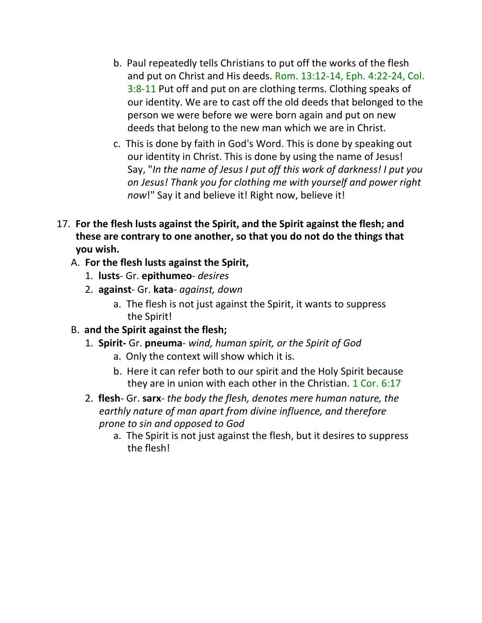- b. Paul repeatedly tells Christians to put off the works of the flesh and put on Christ and His deeds. Rom. 13:12-14, Eph. 4:22-24, Col. 3:8-11 Put off and put on are clothing terms. Clothing speaks of our identity. We are to cast off the old deeds that belonged to the person we were before we were born again and put on new deeds that belong to the new man which we are in Christ.
- c. This is done by faith in God's Word. This is done by speaking out our identity in Christ. This is done by using the name of Jesus! Say, "*In the name of Jesus I put off this work of darkness! I put you on Jesus! Thank you for clothing me with yourself and power right now*!" Say it and believe it! Right now, believe it!
- 17. **For the flesh lusts against the Spirit, and the Spirit against the flesh; and these are contrary to one another, so that you do not do the things that you wish.**
	- A. **For the flesh lusts against the Spirit,**
		- 1. **lusts** Gr. **epithumeo** *desires*
		- 2. **against** Gr. **kata** *against, down*
			- a. The flesh is not just against the Spirit, it wants to suppress the Spirit!
	- B. **and the Spirit against the flesh;**
		- 1. **Spirit-** Gr. **pneuma** *wind, human spirit, or the Spirit of God*
			- a. Only the context will show which it is.
			- b. Here it can refer both to our spirit and the Holy Spirit because they are in union with each other in the Christian. 1 Cor. 6:17
		- 2. **flesh** Gr. **sarx** *the body the flesh, denotes mere human nature, the earthly nature of man apart from divine influence, and therefore prone to sin and opposed to God*
			- a. The Spirit is not just against the flesh, but it desires to suppress the flesh!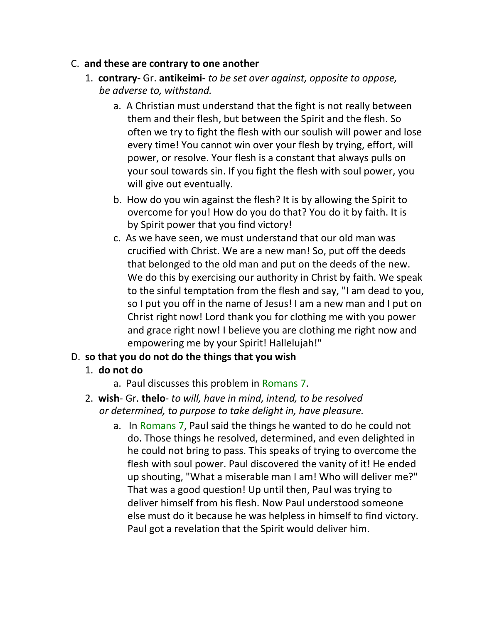#### C. **and these are contrary to one another**

- 1. **contrary-** Gr. **antikeimi-** *to be set over against, opposite to oppose, be adverse to, withstand.*
	- a. A Christian must understand that the fight is not really between them and their flesh, but between the Spirit and the flesh. So often we try to fight the flesh with our soulish will power and lose every time! You cannot win over your flesh by trying, effort, will power, or resolve. Your flesh is a constant that always pulls on your soul towards sin. If you fight the flesh with soul power, you will give out eventually.
	- b. How do you win against the flesh? It is by allowing the Spirit to overcome for you! How do you do that? You do it by faith. It is by Spirit power that you find victory!
	- c. As we have seen, we must understand that our old man was crucified with Christ. We are a new man! So, put off the deeds that belonged to the old man and put on the deeds of the new. We do this by exercising our authority in Christ by faith. We speak to the sinful temptation from the flesh and say, "I am dead to you, so I put you off in the name of Jesus! I am a new man and I put on Christ right now! Lord thank you for clothing me with you power and grace right now! I believe you are clothing me right now and empowering me by your Spirit! Hallelujah!"

## D. **so that you do not do the things that you wish**

### 1. **do not do**

- a. Paul discusses this problem in Romans 7.
- 2. **wish** Gr. **thelo** *to will, have in mind, intend, to be resolved or determined, to purpose to take delight in, have pleasure.*
	- a. In Romans 7, Paul said the things he wanted to do he could not do. Those things he resolved, determined, and even delighted in he could not bring to pass. This speaks of trying to overcome the flesh with soul power. Paul discovered the vanity of it! He ended up shouting, "What a miserable man I am! Who will deliver me?" That was a good question! Up until then, Paul was trying to deliver himself from his flesh. Now Paul understood someone else must do it because he was helpless in himself to find victory. Paul got a revelation that the Spirit would deliver him.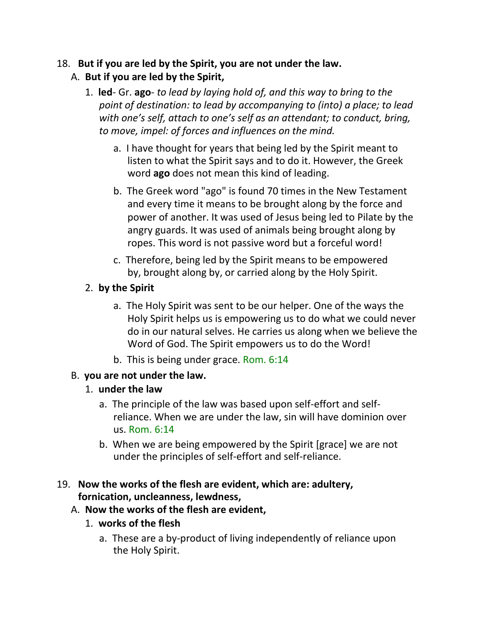### 18. **But if you are led by the Spirit, you are not under the law.** A. **But if you are led by the Spirit,**

- 1. **led** Gr. **ago** *to lead by laying hold of, and this way to bring to the point of destination: to lead by accompanying to (into) a place; to lead with one's self, attach to one's self as an attendant; to conduct, bring, to move, impel: of forces and influences on the mind.*
	- a. I have thought for years that being led by the Spirit meant to listen to what the Spirit says and to do it. However, the Greek word **ago** does not mean this kind of leading.
	- b. The Greek word "ago" is found 70 times in the New Testament and every time it means to be brought along by the force and power of another. It was used of Jesus being led to Pilate by the angry guards. It was used of animals being brought along by ropes. This word is not passive word but a forceful word!
	- c. Therefore, being led by the Spirit means to be empowered by, brought along by, or carried along by the Holy Spirit.

## 2. **by the Spirit**

- a. The Holy Spirit was sent to be our helper. One of the ways the Holy Spirit helps us is empowering us to do what we could never do in our natural selves. He carries us along when we believe the Word of God. The Spirit empowers us to do the Word!
- b. This is being under grace. Rom. 6:14

## B. **you are not under the law.**

### 1. **under the law**

- a. The principle of the law was based upon self-effort and selfreliance. When we are under the law, sin will have dominion over us. Rom. 6:14
- b. When we are being empowered by the Spirit [grace] we are not under the principles of self-effort and self-reliance.

### 19. **Now the works of the flesh are evident, which are: adultery, fornication, uncleanness, lewdness,**

### A. **Now the works of the flesh are evident,**

- 1. **works of the flesh**
	- a. These are a by-product of living independently of reliance upon the Holy Spirit.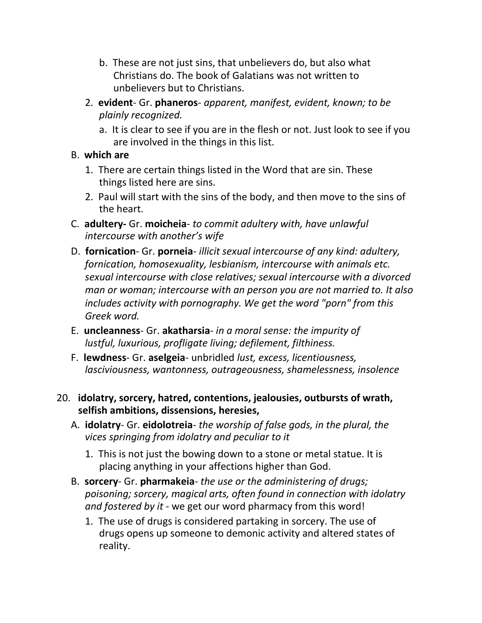- b. These are not just sins, that unbelievers do, but also what Christians do. The book of Galatians was not written to unbelievers but to Christians.
- 2. **evident** Gr. **phaneros** *apparent, manifest, evident, known; to be plainly recognized.*
	- a. It is clear to see if you are in the flesh or not. Just look to see if you are involved in the things in this list.
- B. **which are**
	- 1. There are certain things listed in the Word that are sin. These things listed here are sins.
	- 2. Paul will start with the sins of the body, and then move to the sins of the heart.
- C. **adultery-** Gr. **moicheia** *to commit adultery with, have unlawful intercourse with another's wife*
- D. **fornication** Gr. **porneia** *illicit sexual intercourse of any kind: adultery, fornication, homosexuality, lesbianism, intercourse with animals etc. sexual intercourse with close relatives; sexual intercourse with a divorced man or woman; intercourse with an person you are not married to. It also includes activity with pornography. We get the word "porn" from this Greek word.*
- E. **uncleanness** Gr. **akatharsia** *in a moral sense: the impurity of lustful, luxurious, profligate living; defilement, filthiness.*
- F. **lewdness** Gr. **aselgeia** unbridled *lust, excess, licentiousness, lasciviousness, wantonness, outrageousness, shamelessness, insolence*
- 20. **idolatry, sorcery, hatred, contentions, jealousies, outbursts of wrath, selfish ambitions, dissensions, heresies,**
	- A. **idolatry** Gr. **eidolotreia** *the worship of false gods, in the plural, the vices springing from idolatry and peculiar to it*
		- 1. This is not just the bowing down to a stone or metal statue. It is placing anything in your affections higher than God.
	- B. **sorcery** Gr. **pharmakeia** *the use or the administering of drugs; poisoning; sorcery, magical arts, often found in connection with idolatry and fostered by it* - we get our word pharmacy from this word!
		- 1. The use of drugs is considered partaking in sorcery. The use of drugs opens up someone to demonic activity and altered states of reality.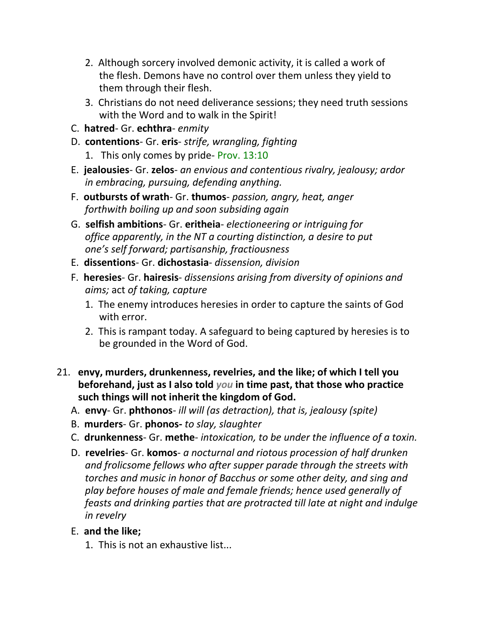- 2. Although sorcery involved demonic activity, it is called a work of the flesh. Demons have no control over them unless they yield to them through their flesh.
- 3. Christians do not need deliverance sessions; they need truth sessions with the Word and to walk in the Spirit!
- C. **hatred** Gr. **echthra** *enmity*
- D. **contentions** Gr. **eris** *strife, wrangling, fighting*
	- 1. This only comes by pride- Prov. 13:10
- E. **jealousies** Gr. **zelos** *an envious and contentious rivalry, jealousy; ardor in embracing, pursuing, defending anything.*
- F. **outbursts of wrath** Gr. **thumos** *passion, angry, heat, anger forthwith boiling up and soon subsiding again*
- G. **selfish ambitions** Gr. **eritheia** *electioneering or intriguing for office apparently, in the NT a courting distinction, a desire to put one's self forward; partisanship, fractiousness*
- E. **dissentions** Gr. **dichostasia** *dissension, division*
- F. **heresies** Gr. **hairesis** *dissensions arising from diversity of opinions and aims;* act *of taking, capture*
	- 1. The enemy introduces heresies in order to capture the saints of God with error.
	- 2. This is rampant today. A safeguard to being captured by heresies is to be grounded in the Word of God.
- 21. **envy, murders, drunkenness, revelries, and the like; of which I tell you beforehand, just as I also told** *you* **in time past, that those who practice such things will not inherit the kingdom of God.**
	- A. **envy** Gr. **phthonos** *ill will (as detraction), that is, jealousy (spite)*
	- B. **murders** Gr. **phonos-** *to slay, slaughter*
	- C. **drunkenness** Gr. **methe** *intoxication, to be under the influence of a toxin.*
	- D. **revelries** Gr. **komos** *a nocturnal and riotous procession of half drunken and frolicsome fellows who after supper parade through the streets with torches and music in honor of Bacchus or some other deity, and sing and play before houses of male and female friends; hence used generally of feasts and drinking parties that are protracted till late at night and indulge in revelry*

### E. **and the like;**

1. This is not an exhaustive list...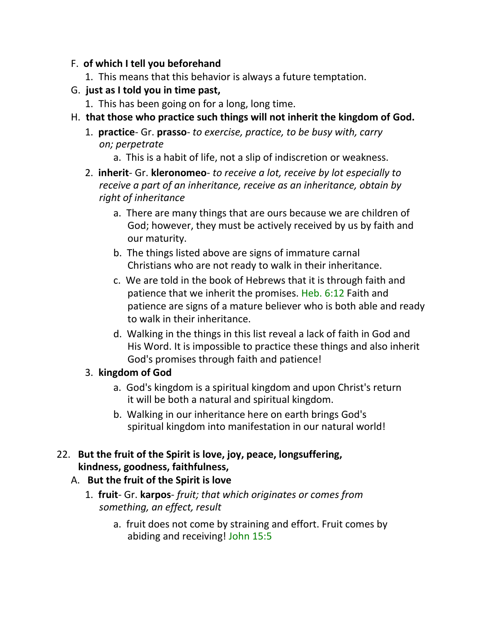### F. **of which I tell you beforehand**

- 1. This means that this behavior is always a future temptation.
- G. **just as I told you in time past,**
	- 1. This has been going on for a long, long time.
- H. **that those who practice such things will not inherit the kingdom of God.**
	- 1. **practice** Gr. **prasso** *to exercise, practice, to be busy with, carry on; perpetrate*
		- a. This is a habit of life, not a slip of indiscretion or weakness.
	- 2. **inherit** Gr. **kleronomeo** *to receive a lot, receive by lot especially to receive a part of an inheritance, receive as an inheritance, obtain by right of inheritance*
		- a. There are many things that are ours because we are children of God; however, they must be actively received by us by faith and our maturity.
		- b. The things listed above are signs of immature carnal Christians who are not ready to walk in their inheritance.
		- c. We are told in the book of Hebrews that it is through faith and patience that we inherit the promises. Heb. 6:12 Faith and patience are signs of a mature believer who is both able and ready to walk in their inheritance.
		- d. Walking in the things in this list reveal a lack of faith in God and His Word. It is impossible to practice these things and also inherit God's promises through faith and patience!

## 3. **kingdom of God**

- a. God's kingdom is a spiritual kingdom and upon Christ's return it will be both a natural and spiritual kingdom.
- b. Walking in our inheritance here on earth brings God's spiritual kingdom into manifestation in our natural world!

### 22. **But the fruit of the Spirit is love, joy, peace, longsuffering, kindness, goodness, faithfulness,**

## A. **But the fruit of the Spirit is love**

- 1. **fruit** Gr. **karpos** *fruit; that which originates or comes from something, an effect, result*
	- a. fruit does not come by straining and effort. Fruit comes by abiding and receiving! John 15:5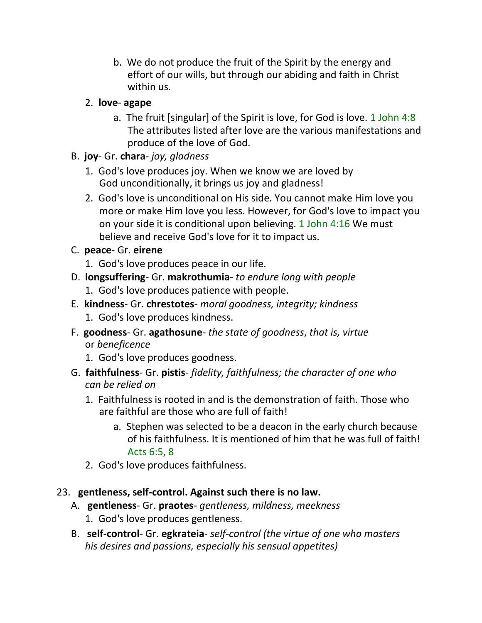b. We do not produce the fruit of the Spirit by the energy and effort of our wills, but through our abiding and faith in Christ within us.

## 2. **love**- **agape**

a. The fruit [singular] of the Spirit is love, for God is love. 1 John 4:8 The attributes listed after love are the various manifestations and produce of the love of God.

## B. **joy**- Gr. **chara**- *joy, gladness*

- 1. God's love produces joy. When we know we are loved by God unconditionally, it brings us joy and gladness!
- 2. God's love is unconditional on His side. You cannot make Him love you more or make Him love you less. However, for God's love to impact you on your side it is conditional upon believing. 1 John 4:16 We must believe and receive God's love for it to impact us.

## C. **peace**- Gr. **eirene**

- 1. God's love produces peace in our life.
- D. **longsuffering** Gr. **makrothumia** *to endure long with people*
	- 1. God's love produces patience with people.
- E. **kindness** Gr. **chrestotes** *moral goodness, integrity; kindness*
	- 1. God's love produces kindness.
- F. **goodness** Gr. **agathosune** *the state of goodness*, *that is, virtue* or *beneficence*
	- 1. God's love produces goodness.
- G. **faithfulness** Gr. **pistis** *fidelity, faithfulness; the character of one who can be relied on*
	- 1. Faithfulness is rooted in and is the demonstration of faith. Those who are faithful are those who are full of faith!
		- a. Stephen was selected to be a deacon in the early church because of his faithfulness. It is mentioned of him that he was full of faith! Acts 6:5, 8
	- 2. God's love produces faithfulness.

## 23. **gentleness, self-control. Against such there is no law.**

- A. **gentleness** Gr. **praotes** *gentleness, mildness, meekness*
	- 1. God's love produces gentleness.
- B. **self-control** Gr. **egkrateia** *self-control (the virtue of one who masters his desires and passions, especially his sensual appetites)*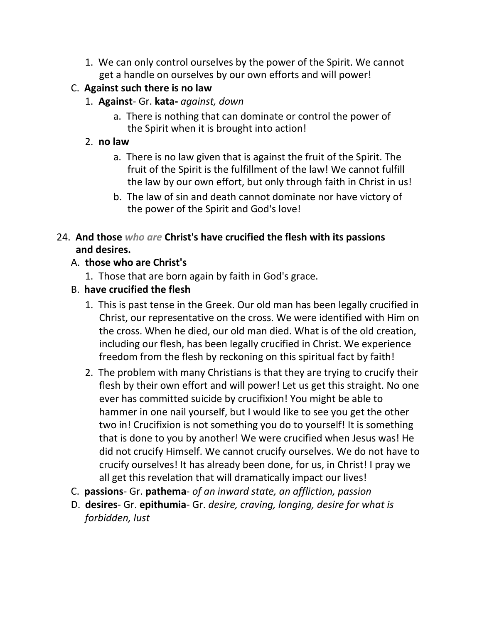1. We can only control ourselves by the power of the Spirit. We cannot get a handle on ourselves by our own efforts and will power!

# C. **Against such there is no law**

- 1. **Against** Gr. **kata-** *against, down*
	- a. There is nothing that can dominate or control the power of the Spirit when it is brought into action!

# 2. **no law**

- a. There is no law given that is against the fruit of the Spirit. The fruit of the Spirit is the fulfillment of the law! We cannot fulfill the law by our own effort, but only through faith in Christ in us!
- b. The law of sin and death cannot dominate nor have victory of the power of the Spirit and God's love!

# 24. **And those** *who are* **Christ's have crucified the flesh with its passions and desires.**

# A. **those who are Christ's**

1. Those that are born again by faith in God's grace.

# B. **have crucified the flesh**

- 1. This is past tense in the Greek. Our old man has been legally crucified in Christ, our representative on the cross. We were identified with Him on the cross. When he died, our old man died. What is of the old creation, including our flesh, has been legally crucified in Christ. We experience freedom from the flesh by reckoning on this spiritual fact by faith!
- 2. The problem with many Christians is that they are trying to crucify their flesh by their own effort and will power! Let us get this straight. No one ever has committed suicide by crucifixion! You might be able to hammer in one nail yourself, but I would like to see you get the other two in! Crucifixion is not something you do to yourself! It is something that is done to you by another! We were crucified when Jesus was! He did not crucify Himself. We cannot crucify ourselves. We do not have to crucify ourselves! It has already been done, for us, in Christ! I pray we all get this revelation that will dramatically impact our lives!
- C. **passions** Gr. **pathema** *of an inward state, an affliction, passion*
- D. **desires** Gr. **epithumia** Gr. *desire, craving, longing, desire for what is forbidden, lust*